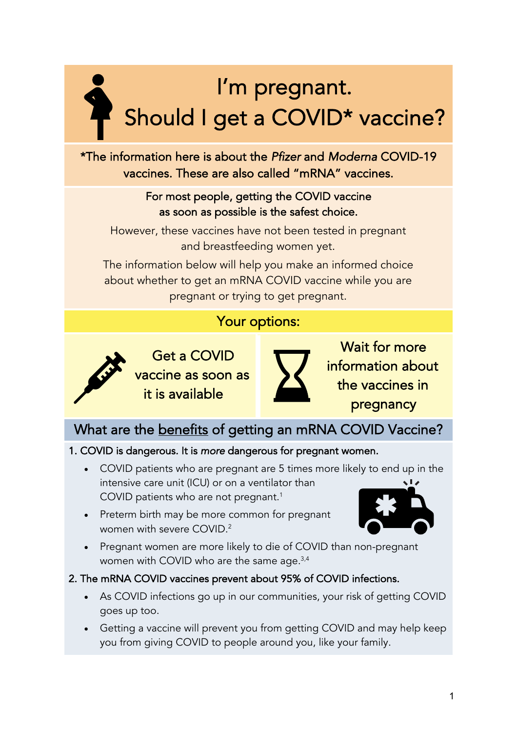# I'm pregnant. Should I get a COVID\* vaccine?

\*The information here is about the *Pfizer* and *Moderna* COVID-19 vaccines. These are also called "mRNA" vaccines.

#### For most people, getting the COVID vaccine as soon as possible is the safest choice.

However, these vaccines have not been tested in pregnant and breastfeeding women yet.

The information below will help you make an informed choice about whether to get an mRNA COVID vaccine while you are pregnant or trying to get pregnant.

### Your options:



Get a COVID vaccine as soon as it is available



Wait for more information about the vaccines in pregnancy

### What are the benefits of getting an mRNA COVID Vaccine?

#### 1. COVID is dangerous. It is *more* dangerous for pregnant women.

- COVID patients who are pregnant are 5 times more likely to end up in the intensive care unit (ICU) or on a ventilator than COVID patients who are not pregnant. 1
- Preterm birth may be more common for pregnant women with severe COVID. $2$



• Pregnant women are more likely to die of COVID than non-pregnant women with COVID who are the same age.<sup>3,4</sup>

#### 2. The mRNA COVID vaccines prevent about 95% of COVID infections.

- As COVID infections go up in our communities, your risk of getting COVID goes up too.
- Getting a vaccine will prevent you from getting COVID and may help keep you from giving COVID to people around you, like your family.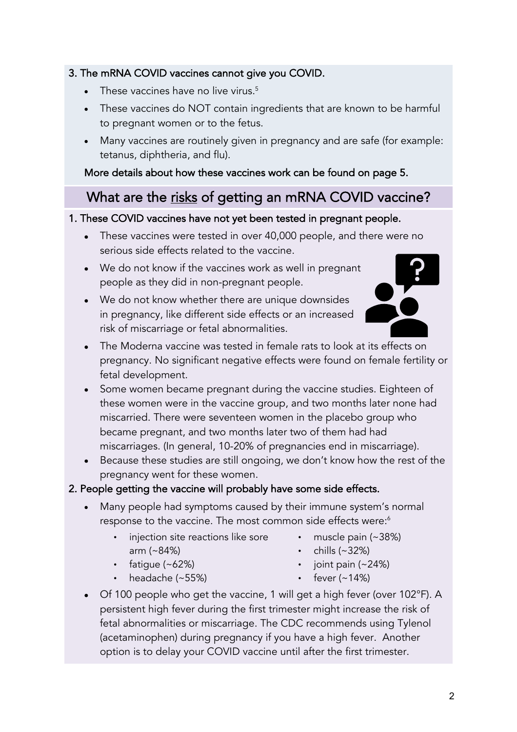# $\cdot$  chills (~32%)

 $\cdot$  joint pain (~24%)

• muscle pain (~38%)

- fever  $(-14%)$
- Of 100 people who get the vaccine, 1 will get a high fever (over 102°F). A persistent high fever during the first trimester might increase the risk of fetal abnormalities or miscarriage. The CDC recommends using Tylenol (acetaminophen) during pregnancy if you have a high fever. Another option is to delay your COVID vaccine until after the first trimester.
- pregnancy. No significant negative effects were found on female fertility or fetal development.
	- these women were in the vaccine group, and two months later none had
- miscarried. There were seventeen women in the placebo group who became pregnant, and two months later two of them had had miscarriages. (In general, 10-20% of pregnancies end in miscarriage).
- Some women became pregnant during the vaccine studies. Eighteen of
- 
- serious side effects related to the vaccine.
- We do not know if the vaccines work as well in pregnant people as they did in non-pregnant people.
- We do not know whether there are unique downsides in pregnancy, like different side effects or an increased
- 3. The mRNA COVID vaccines cannot give you COVID. These vaccines have no live virus.<sup>5</sup>
	- These vaccines do NOT contain ingredients that are known to be harmful to pregnant women or to the fetus.
	- Many vaccines are routinely given in pregnancy and are safe (for example: tetanus, diphtheria, and flu).

#### More details about how these vaccines work can be found on page 5.

### What are the risks of getting an mRNA COVID vaccine?

• These vaccines were tested in over 40,000 people, and there were no

#### 1. These COVID vaccines have not yet been tested in pregnant people.

- risk of miscarriage or fetal abnormalities. • The Moderna vaccine was tested in female rats to look at its effects on
	-
	- Because these studies are still ongoing, we don't know how the rest of the pregnancy went for these women.

#### 2. People getting the vaccine will probably have some side effects.

- Many people had symptoms caused by their immune system's normal response to the vaccine. The most common side effects were:<sup>6</sup>
	- injection site reactions like sore arm (~84%)
	- fatigue (~62%)
	- headache (~55%)



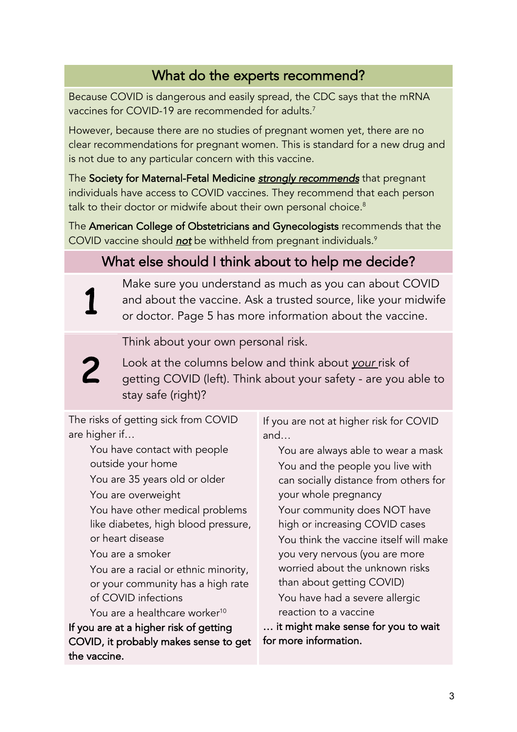### What do the experts recommend?

Because COVID is dangerous and easily spread, the CDC says that the mRNA vaccines for COVID-19 are recommended for adults. $^7$ 

However, because there are no studies of pregnant women yet, there are no clear recommendations for pregnant women. This is standard for a new drug and is not due to any particular concern with this vaccine.

The Society for Maternal-Fetal Medicine *strongly recommends* that pregnant individuals have access to COVID vaccines. They recommend that each person talk to their doctor or midwife about their own personal choice.<sup>8</sup>

The American College of Obstetricians and Gynecologists recommends that the COVID vaccine should *not* be withheld from pregnant individuals.9

### What else should I think about to help me decide?

Make sure you understand as much as you can about COVID and about the vaccine. Ask a trusted source, like your midwife or doctor. Page 5 has more information about the vaccine.

Think about your own personal risk.

Look at the columns below and think about *your* risk of getting COVID (left). Think about your safety - are you able to stay safe (right)?

The risks of getting sick from COVID are higher if…

> You have contact with people outside your home You are 35 years old or older

You are overweight

1

2

 You have other medical problems like diabetes, high blood pressure, or heart disease

You are a smoker

 You are a racial or ethnic minority, or your community has a high rate of COVID infections

You are a healthcare worker<sup>10</sup> If you are at a higher risk of getting

COVID, it probably makes sense to get the vaccine.

If you are not at higher risk for COVID and…

 You are always able to wear a mask You and the people you live with can socially distance from others for your whole pregnancy Your community does NOT have high or increasing COVID cases You think the vaccine itself will make you very nervous (you are more worried about the unknown risks than about getting COVID) You have had a severe allergic reaction to a vaccine

… it might make sense for you to wait for more information.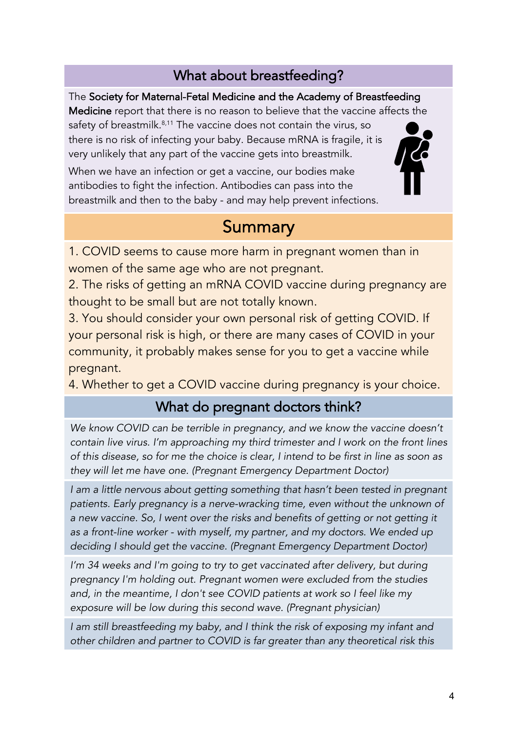### What about breastfeeding?

The Society for Maternal-Fetal Medicine and the Academy of Breastfeeding Medicine report that there is no reason to believe that the vaccine affects the safety of breastmilk.<sup>8,11</sup> The vaccine does not contain the virus, so there is no risk of infecting your baby. Because mRNA is fragile, it is very unlikely that any part of the vaccine gets into breastmilk.

When we have an infection or get a vaccine, our bodies make antibodies to fight the infection. Antibodies can pass into the breastmilk and then to the baby - and may help prevent infections.

## **Summary**

1. COVID seems to cause more harm in pregnant women than in women of the same age who are not pregnant.

2. The risks of getting an mRNA COVID vaccine during pregnancy are thought to be small but are not totally known.

3. You should consider your own personal risk of getting COVID. If your personal risk is high, or there are many cases of COVID in your community, it probably makes sense for you to get a vaccine while pregnant.

4. Whether to get a COVID vaccine during pregnancy is your choice.

### What do pregnant doctors think?

*We know COVID can be terrible in pregnancy, and we know the vaccine doesn't contain live virus. I'm approaching my third trimester and I work on the front lines of this disease, so for me the choice is clear, I intend to be first in line as soon as they will let me have one. (Pregnant Emergency Department Doctor)*

*I am a little nervous about getting something that hasn't been tested in pregnant patients. Early pregnancy is a nerve-wracking time, even without the unknown of a new vaccine. So, I went over the risks and benefits of getting or not getting it as a front-line worker - with myself, my partner, and my doctors. We ended up deciding I should get the vaccine. (Pregnant Emergency Department Doctor)*

*I'm 34 weeks and I'm going to try to get vaccinated after delivery, but during pregnancy I'm holding out. Pregnant women were excluded from the studies and, in the meantime, I don't see COVID patients at work so I feel like my exposure will be low during this second wave. (Pregnant physician)*

*I am still breastfeeding my baby, and I think the risk of exposing my infant and other children and partner to COVID is far greater than any theoretical risk this*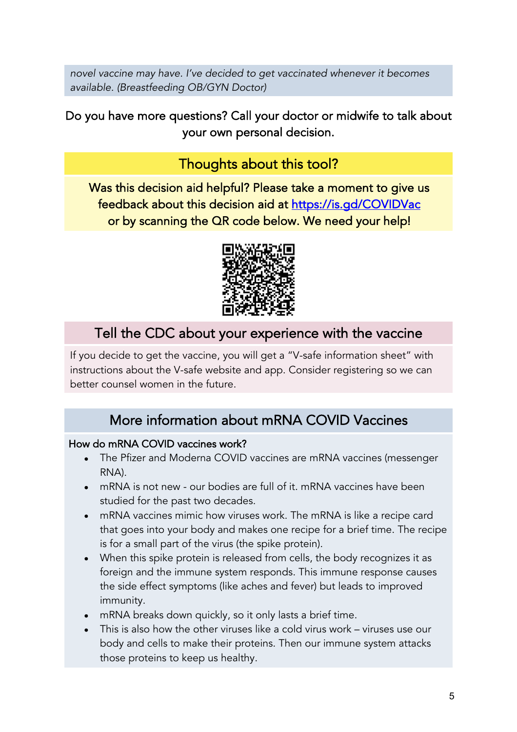*novel vaccine may have. I've decided to get vaccinated whenever it becomes available. (Breastfeeding OB/GYN Doctor)*

Do you have more questions? Call your doctor or midwife to talk about your own personal decision.

### Thoughts about this tool?

Was this decision aid helpful? Please take a moment to give us feedback about this decision aid at https://is.gd/COVIDVac or by scanning the QR code below. We need your help!



### Tell the CDC about your experience with the vaccine

If you decide to get the vaccine, you will get a "V-safe information sheet" with instructions about the V-safe website and app. Consider registering so we can better counsel women in the future.

### More information about mRNA COVID Vaccines

#### How do mRNA COVID vaccines work?

- The Pfizer and Moderna COVID vaccines are mRNA vaccines (messenger RNA).
- mRNA is not new our bodies are full of it. mRNA vaccines have been studied for the past two decades.
- mRNA vaccines mimic how viruses work. The mRNA is like a recipe card that goes into your body and makes one recipe for a brief time. The recipe is for a small part of the virus (the spike protein).
- When this spike protein is released from cells, the body recognizes it as foreign and the immune system responds. This immune response causes the side effect symptoms (like aches and fever) but leads to improved immunity.
- mRNA breaks down quickly, so it only lasts a brief time.
- This is also how the other viruses like a cold virus work viruses use our body and cells to make their proteins. Then our immune system attacks those proteins to keep us healthy.